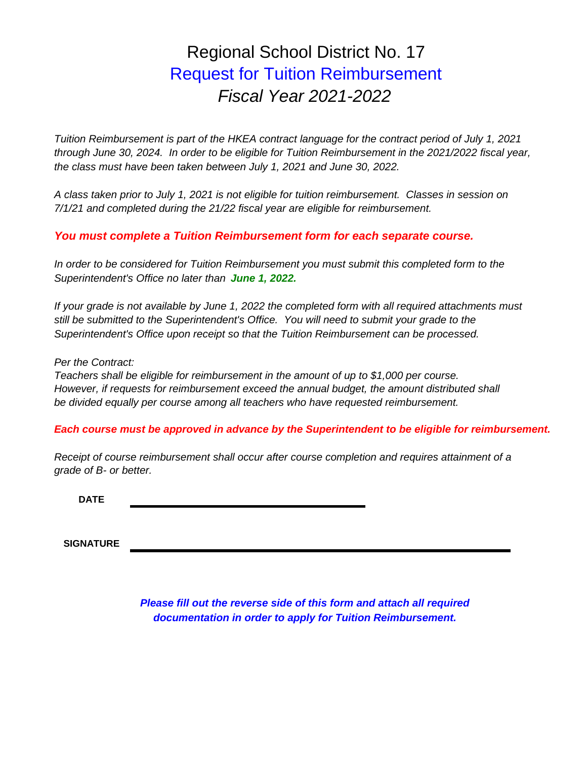# Regional School District No. 17 Request for Tuition Reimbursement *Fiscal Year 2021-2022*

*through June 30, 2024. In order to be eligible for Tuition Reimbursement in the 2021/2022 fiscal year, the class must have been taken between July 1, 2021 and June 30, 2022. Tuition Reimbursement is part of the HKEA contract language for the contract period of July 1, 2021*

*7/1/21 and completed during the 21/22 fiscal year are eligible for reimbursement. A class taken prior to July 1, 2021 is not eligible for tuition reimbursement. Classes in session on*

### *You must complete a Tuition Reimbursement form for each separate course.*

*In order to be considered for Tuition Reimbursement you must submit this completed form to the Superintendent's Office no later than June 1, 2022.* 

*If your grade is not available by June 1, 2022 the completed form with all required attachments must still be submitted to the Superintendent's Office. You will need to submit your grade to the Superintendent's Office upon receipt so that the Tuition Reimbursement can be processed.*

#### *Per the Contract:*

*Teachers shall be eligible for reimbursement in the amount of up to \$1,000 per course. However, if requests for reimbursement exceed the annual budget, the amount distributed shall be divided equally per course among all teachers who have requested reimbursement.*

### *Each course must be approved in advance by the Superintendent to be eligible for reimbursement.*

*Receipt of course reimbursement shall occur after course completion and requires attainment of a grade of B- or better.*

**DATE**

**SIGNATURE**

*Please fill out the reverse side of this form and attach all required documentation in order to apply for Tuition Reimbursement.*